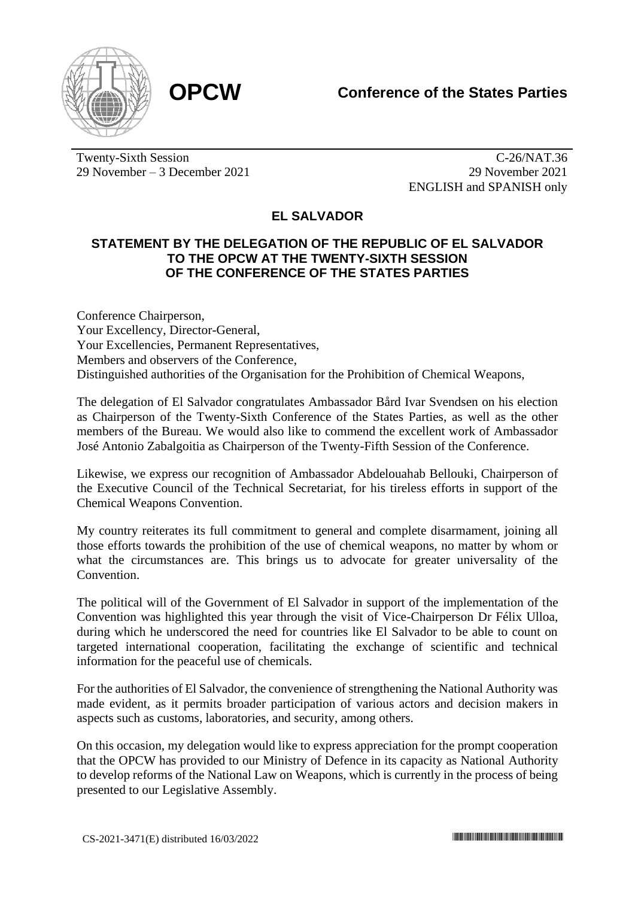

Twenty-Sixth Session 29 November – 3 December 2021

C-26/NAT.36 29 November 2021 ENGLISH and SPANISH only

## **EL SALVADOR**

## **STATEMENT BY THE DELEGATION OF THE REPUBLIC OF EL SALVADOR TO THE OPCW AT THE TWENTY-SIXTH SESSION OF THE CONFERENCE OF THE STATES PARTIES**

Conference Chairperson, Your Excellency, Director-General, Your Excellencies, Permanent Representatives, Members and observers of the Conference, Distinguished authorities of the Organisation for the Prohibition of Chemical Weapons,

The delegation of El Salvador congratulates Ambassador Bård Ivar Svendsen on his election as Chairperson of the Twenty-Sixth Conference of the States Parties, as well as the other members of the Bureau. We would also like to commend the excellent work of Ambassador José Antonio Zabalgoitia as Chairperson of the Twenty-Fifth Session of the Conference.

Likewise, we express our recognition of Ambassador Abdelouahab Bellouki, Chairperson of the Executive Council of the Technical Secretariat, for his tireless efforts in support of the Chemical Weapons Convention.

My country reiterates its full commitment to general and complete disarmament, joining all those efforts towards the prohibition of the use of chemical weapons, no matter by whom or what the circumstances are. This brings us to advocate for greater universality of the Convention.

The political will of the Government of El Salvador in support of the implementation of the Convention was highlighted this year through the visit of Vice-Chairperson Dr Félix Ulloa, during which he underscored the need for countries like El Salvador to be able to count on targeted international cooperation, facilitating the exchange of scientific and technical information for the peaceful use of chemicals.

For the authorities of El Salvador, the convenience of strengthening the National Authority was made evident, as it permits broader participation of various actors and decision makers in aspects such as customs, laboratories, and security, among others.

On this occasion, my delegation would like to express appreciation for the prompt cooperation that the OPCW has provided to our Ministry of Defence in its capacity as National Authority to develop reforms of the National Law on Weapons, which is currently in the process of being presented to our Legislative Assembly.